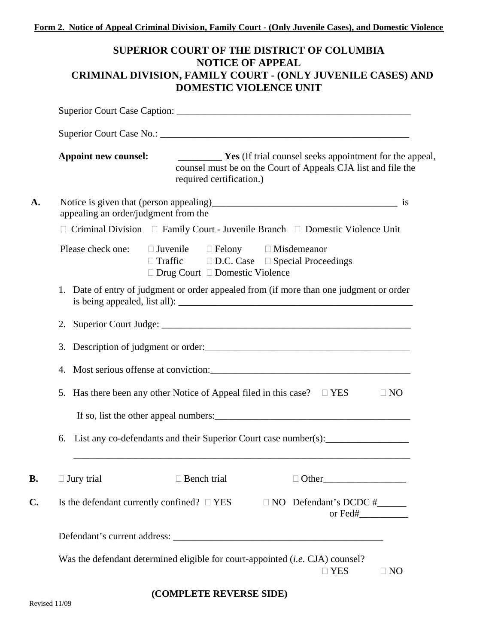## **SUPERIOR COURT OF THE DISTRICT OF COLUMBIA NOTICE OF APPEAL CRIMINAL DIVISION, FAMILY COURT - (ONLY JUVENILE CASES) AND DOMESTIC VIOLENCE UNIT**

| <b>Appoint new counsel:</b>          | required certification.)                                                                                                                                                                | <b>EXECUTE:</b> Yes (If trial counsel seeks appointment for the appeal,<br>counsel must be on the Court of Appeals CJA list and file the |              |
|--------------------------------------|-----------------------------------------------------------------------------------------------------------------------------------------------------------------------------------------|------------------------------------------------------------------------------------------------------------------------------------------|--------------|
| appealing an order/judgment from the |                                                                                                                                                                                         |                                                                                                                                          |              |
|                                      | $\Box$ Criminal Division $\Box$ Family Court - Juvenile Branch $\Box$ Domestic Violence Unit                                                                                            |                                                                                                                                          |              |
|                                      | Please check one: $\square$ Juvenile $\square$ Felony $\square$ Misdemeanor<br>$\Box$ Traffic $\Box$ D.C. Case $\Box$ Special Proceedings<br>$\Box$ Drug Court $\Box$ Domestic Violence |                                                                                                                                          |              |
| 1.                                   | Date of entry of judgment or order appealed from (if more than one judgment or order                                                                                                    |                                                                                                                                          |              |
| 2.                                   |                                                                                                                                                                                         |                                                                                                                                          |              |
| 3.                                   | Description of judgment or order:                                                                                                                                                       |                                                                                                                                          |              |
|                                      |                                                                                                                                                                                         |                                                                                                                                          |              |
| 5.                                   | Has there been any other Notice of Appeal filed in this case? $\square$ YES                                                                                                             |                                                                                                                                          | $\Box$ NO    |
|                                      | 6. List any co-defendants and their Superior Court case number(s):                                                                                                                      |                                                                                                                                          |              |
| $\Box$ Jury trial                    | $\Box$ Bench trial                                                                                                                                                                      |                                                                                                                                          | $\Box$ Other |
|                                      | Is the defendant currently confined? $\Box$ YES $\Box$ NO Defendant's DCDC #                                                                                                            |                                                                                                                                          |              |
|                                      |                                                                                                                                                                                         |                                                                                                                                          |              |

## **(COMPLETE REVERSE SIDE)**